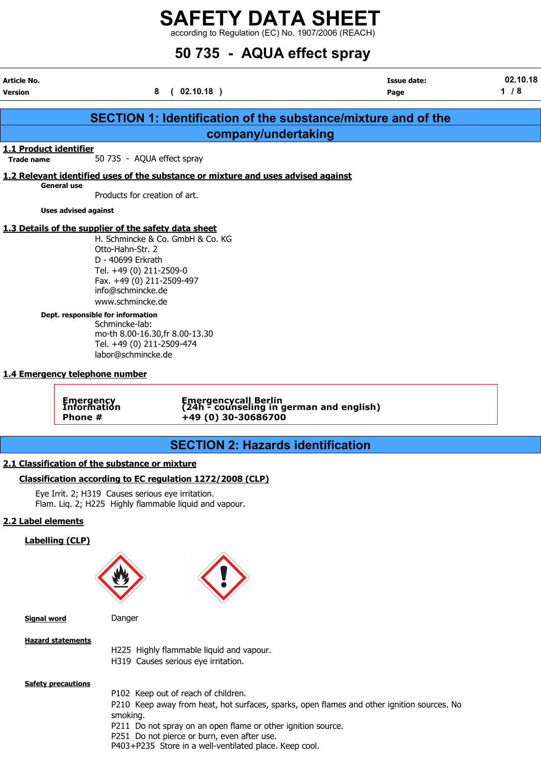according to Regulation (EC) No. 1907/2006 (REACH)

# 50 735 - AQUA effect spray

Article No. Issue date: 02.10.18 Version 2008 (192.10.18 ) Page 2 / 8 (192.10.18 ) Page 2 / 8 (192.10.18 )

| <b>SECTION 1: Identification of the substance/mixture and of the</b> |                                                                                                                                                                                                                                                                                                                        |  |  |  |  |  |  |
|----------------------------------------------------------------------|------------------------------------------------------------------------------------------------------------------------------------------------------------------------------------------------------------------------------------------------------------------------------------------------------------------------|--|--|--|--|--|--|
| company/undertaking                                                  |                                                                                                                                                                                                                                                                                                                        |  |  |  |  |  |  |
| 1.1 Product identifier<br><b>Trade name</b>                          | 50 735 - AQUA effect spray                                                                                                                                                                                                                                                                                             |  |  |  |  |  |  |
|                                                                      | 1.2 Relevant identified uses of the substance or mixture and uses advised against                                                                                                                                                                                                                                      |  |  |  |  |  |  |
| <b>General use</b>                                                   | Products for creation of art.                                                                                                                                                                                                                                                                                          |  |  |  |  |  |  |
| <b>Uses advised against</b>                                          |                                                                                                                                                                                                                                                                                                                        |  |  |  |  |  |  |
|                                                                      | 1.3 Details of the supplier of the safety data sheet                                                                                                                                                                                                                                                                   |  |  |  |  |  |  |
|                                                                      | H. Schmincke & Co. GmbH & Co. KG<br>Otto-Hahn-Str. 2<br>D - 40699 Erkrath<br>Tel. +49 (0) 211-2509-0<br>Fax. +49 (0) 211-2509-497<br>info@schmincke.de<br>www.schmincke.de                                                                                                                                             |  |  |  |  |  |  |
| Dept. responsible for information                                    | Schmincke-lab:<br>mo-th 8.00-16.30, fr 8.00-13.30<br>Tel. +49 (0) 211-2509-474<br>labor@schmincke.de                                                                                                                                                                                                                   |  |  |  |  |  |  |
| 1.4 Emergency telephone number                                       |                                                                                                                                                                                                                                                                                                                        |  |  |  |  |  |  |
| <b>Emergency</b><br>Information<br>Phone #                           | Emergencycall Berlin<br>(24h - counseling in german and english)<br>+49 (0) 30-30686700                                                                                                                                                                                                                                |  |  |  |  |  |  |
|                                                                      |                                                                                                                                                                                                                                                                                                                        |  |  |  |  |  |  |
|                                                                      | <b>SECTION 2: Hazards identification</b>                                                                                                                                                                                                                                                                               |  |  |  |  |  |  |
| 2.1 Classification of the substance or mixture                       |                                                                                                                                                                                                                                                                                                                        |  |  |  |  |  |  |
|                                                                      | Classification according to EC regulation 1272/2008 (CLP)                                                                                                                                                                                                                                                              |  |  |  |  |  |  |
|                                                                      | Eye Irrit. 2; H319 Causes serious eye irritation.<br>Flam. Liq. 2; H225 Highly flammable liquid and vapour.                                                                                                                                                                                                            |  |  |  |  |  |  |
| 2.2 Label elements                                                   |                                                                                                                                                                                                                                                                                                                        |  |  |  |  |  |  |
| <b>Labelling (CLP)</b>                                               |                                                                                                                                                                                                                                                                                                                        |  |  |  |  |  |  |
|                                                                      |                                                                                                                                                                                                                                                                                                                        |  |  |  |  |  |  |
| <b>Signal word</b>                                                   | Danger                                                                                                                                                                                                                                                                                                                 |  |  |  |  |  |  |
| <b>Hazard statements</b>                                             | H225 Highly flammable liquid and vapour.<br>H319 Causes serious eye irritation.                                                                                                                                                                                                                                        |  |  |  |  |  |  |
| <b>Safety precautions</b>                                            | P102 Keep out of reach of children.<br>P210 Keep away from heat, hot surfaces, sparks, open flames and other ignition sources. No<br>smoking.<br>P211 Do not spray on an open flame or other ignition source.<br>P251 Do not pierce or burn, even after use.<br>P403+P235 Store in a well-ventilated place. Keep cool. |  |  |  |  |  |  |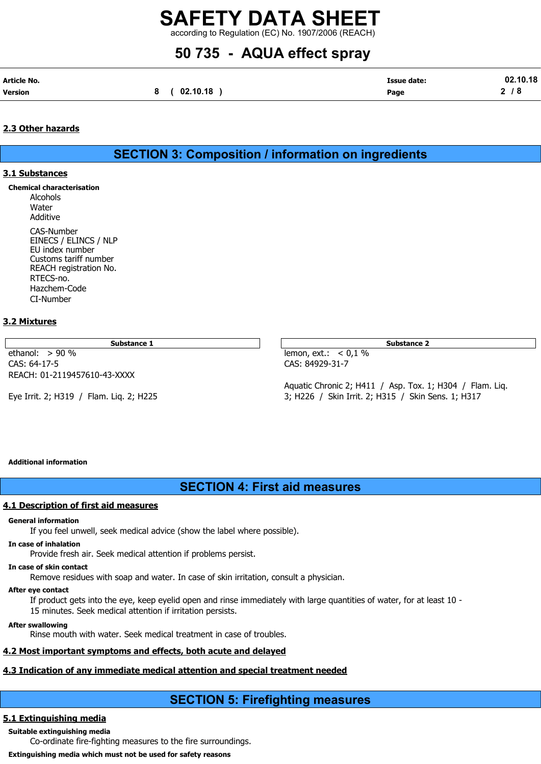according to Regulation (EC) No. 1907/2006 (REACH)

# 50 735 - AQUA effect spray

| Article No.    |          | Issue date: | 10.18 |
|----------------|----------|-------------|-------|
| <b>Version</b> | 02.10.18 | Page        |       |

### 2.3 Other hazards

SECTION 3: Composition / information on ingredients

#### 3.1 Substances

Chemical characterisation Alcohols **Water** Additive CAS-Number EINECS / ELINCS / NLP EU index number Customs tariff number REACH registration No. RTECS-no. Hazchem-Code CI-Number

#### 3.2 Mixtures

Substance 1 Substance 2 Substance 2 Substance 2 Substance 2 Substance 2 Substance 2 Substance 2 Substance 2 Substance 2 Substance 2 Substance 2 Substance 2 Substance 2 Substance 2 Substance 2 Substance 2 Substance 2 Substa

ethanol: > 90 % lemon, ext.: < 0,1 % CAS: 64-17-5 CAS: 84929-31-7 REACH: 01-2119457610-43-XXXX

Aquatic Chronic 2; H411 / Asp. Tox. 1; H304 / Flam. Liq. Eye Irrit. 2; H319 / Flam. Liq. 2; H225 3; H226 / Skin Irrit. 2; H315 / Skin Sens. 1; H317

#### Additional information

# SECTION 4: First aid measures

#### 4.1 Description of first aid measures

#### General information

If you feel unwell, seek medical advice (show the label where possible).

#### In case of inhalation

Provide fresh air. Seek medical attention if problems persist.

#### In case of skin contact

Remove residues with soap and water. In case of skin irritation, consult a physician.

#### After eye contact

If product gets into the eye, keep eyelid open and rinse immediately with large quantities of water, for at least 10 - 15 minutes. Seek medical attention if irritation persists.

#### After swallowing

Rinse mouth with water. Seek medical treatment in case of troubles.

### 4.2 Most important symptoms and effects, both acute and delayed

## 4.3 Indication of any immediate medical attention and special treatment needed

# SECTION 5: Firefighting measures

## 5.1 Extinguishing media

Suitable extinguishing media

Co-ordinate fire-fighting measures to the fire surroundings.

Extinguishing media which must not be used for safety reasons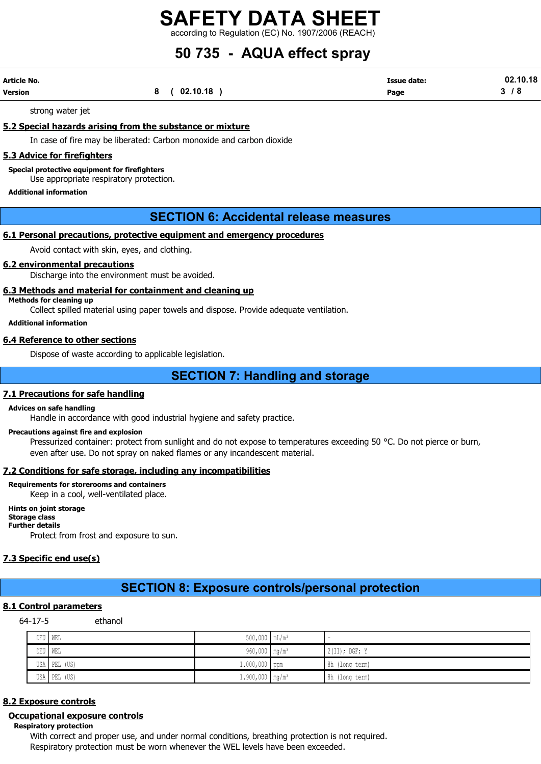according to Regulation (EC) No. 1907/2006 (REACH)

# 50 735 - AQUA effect spray

| Article No. |          | <b>Issue date:</b> | 02.10.18 |
|-------------|----------|--------------------|----------|
| Version     | 02.10.18 | Page               | o        |

strong water jet

5.2 Special hazards arising from the substance or mixture

In case of fire may be liberated: Carbon monoxide and carbon dioxide

#### 5.3 Advice for firefighters

Special protective equipment for firefighters

Use appropriate respiratory protection.

#### Additional information

## SECTION 6: Accidental release measures

### 6.1 Personal precautions, protective equipment and emergency procedures

Avoid contact with skin, eyes, and clothing.

#### 6.2 environmental precautions

Discharge into the environment must be avoided.

#### 6.3 Methods and material for containment and cleaning up

Methods for cleaning up

Collect spilled material using paper towels and dispose. Provide adequate ventilation.

Additional information

#### 6.4 Reference to other sections

Dispose of waste according to applicable legislation.

## SECTION 7: Handling and storage

#### 7.1 Precautions for safe handling

#### Advices on safe handling

Handle in accordance with good industrial hygiene and safety practice.

#### Precautions against fire and explosion

Pressurized container: protect from sunlight and do not expose to temperatures exceeding 50 °C. Do not pierce or burn, even after use. Do not spray on naked flames or any incandescent material.

#### 7.2 Conditions for safe storage, including any incompatibilities

#### Requirements for storerooms and containers

Keep in a cool, well-ventilated place.

Hints on joint storage Storage class Further details

Protect from frost and exposure to sun.

#### 7.3 Specific end use(s)

## SECTION 8: Exposure controls/personal protection

#### 8.1 Control parameters

64-17-5 ethanol

| DEU WEL      | $500,000$ $mL/m^3$            | -               |
|--------------|-------------------------------|-----------------|
| DEU WEL      | 960,000 mg/m <sup>3</sup>     | $2(II);$ DGF; Y |
| USA PEL (US) | $1.000,000$ ppm               | 8h (long term)  |
| USA PEL (US) | $1.900,000$ mg/m <sup>3</sup> | 8h (long term)  |

### 8.2 Exposure controls

#### Occupational exposure controls

Respiratory protection

With correct and proper use, and under normal conditions, breathing protection is not required. Respiratory protection must be worn whenever the WEL levels have been exceeded.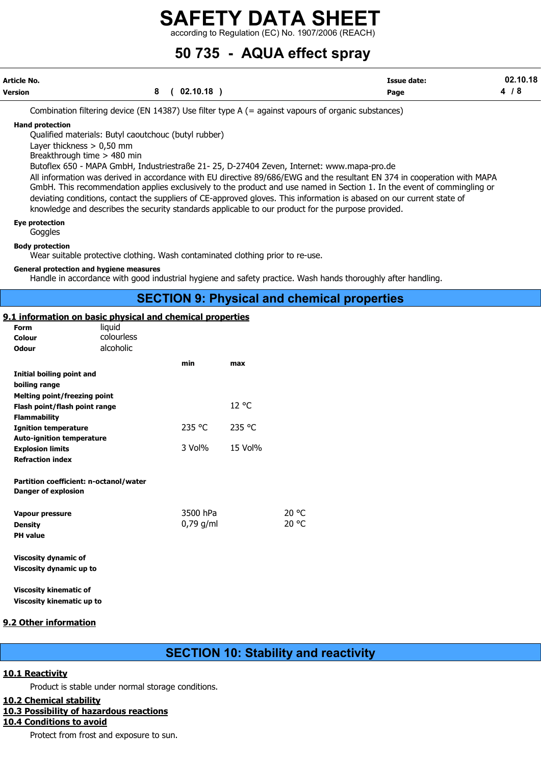according to Regulation (EC) No. 1907/2006 (REACH)

# 50 735 - AQUA effect spray

| Article No.    |                | <b>Issue date:</b> | 02.10.18 |
|----------------|----------------|--------------------|----------|
| <b>Version</b> | 8 ( 02.10.18 ) | Page               | 4/8      |

Combination filtering device (EN 14387) Use filter type A (= against vapours of organic substances)

Hand protection

Qualified materials: Butyl caoutchouc (butyl rubber)

Layer thickness > 0,50 mm

Breakthrough time > 480 min

Butoflex 650 - MAPA GmbH, Industriestraße 21- 25, D-27404 Zeven, Internet: www.mapa-pro.de

All information was derived in accordance with EU directive 89/686/EWG and the resultant EN 374 in cooperation with MAPA GmbH. This recommendation applies exclusively to the product and use named in Section 1. In the event of commingling or deviating conditions, contact the suppliers of CE-approved gloves. This information is abased on our current state of knowledge and describes the security standards applicable to our product for the purpose provided.

Eye protection

Goggles

Body protection

Wear suitable protective clothing. Wash contaminated clothing prior to re-use.

#### General protection and hygiene measures

Handle in accordance with good industrial hygiene and safety practice. Wash hands thoroughly after handling.

## SECTION 9: Physical and chemical properties

#### 9.1 information on basic physical and chemical properties

| Form<br>Colour<br><b>Odour</b>                                                              | liquid<br>colourless<br>alcoholic |                         |         |                |
|---------------------------------------------------------------------------------------------|-----------------------------------|-------------------------|---------|----------------|
| Initial boiling point and<br>boiling range                                                  |                                   | min                     | max     |                |
| <b>Melting point/freezing point</b><br>Flash point/flash point range<br><b>Flammability</b> |                                   |                         | 12 °C   |                |
| <b>Ignition temperature</b>                                                                 |                                   | 235 °C                  | 235 °C  |                |
| <b>Auto-ignition temperature</b><br><b>Explosion limits</b><br><b>Refraction index</b>      |                                   | $3$ Vol $%$             | 15 Vol% |                |
| Partition coefficient: n-octanol/water<br><b>Danger of explosion</b>                        |                                   |                         |         |                |
| <b>Vapour pressure</b><br><b>Density</b><br><b>PH</b> value                                 |                                   | 3500 hPa<br>$0,79$ g/ml |         | 20 °C<br>20 °C |
| <b>Viscosity dynamic of</b><br>Viscosity dynamic up to                                      |                                   |                         |         |                |
| <b>Viscosity kinematic of</b><br><b>Viscosity kinematic up to</b>                           |                                   |                         |         |                |

#### 9.2 Other information

# SECTION 10: Stability and reactivity

#### 10.1 Reactivity

Product is stable under normal storage conditions.

#### 10.2 Chemical stability

#### 10.3 Possibility of hazardous reactions

#### 10.4 Conditions to avoid

Protect from frost and exposure to sun.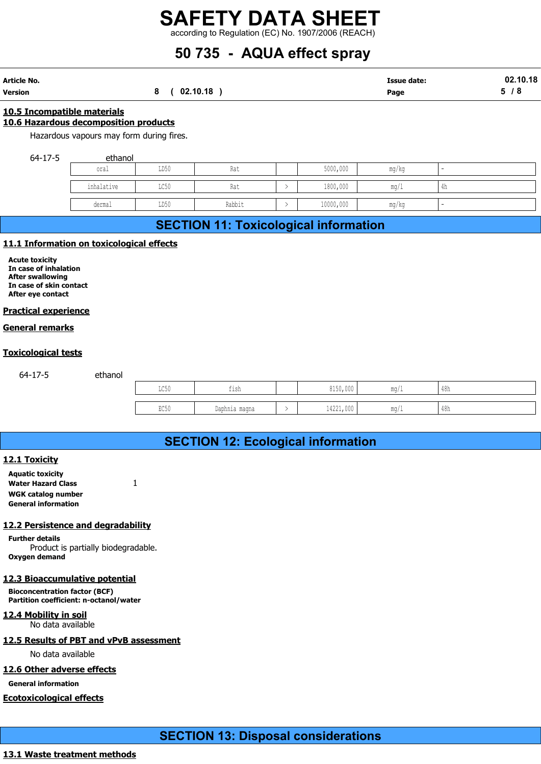# 50 735 - AQUA effect spray

| Article No. |          | Issue date: | 02.10.18 |
|-------------|----------|-------------|----------|
| Version     | 02.10.18 | Page        | -        |

#### 10.5 Incompatible materials

#### 10.6 Hazardous decomposition products

Hazardous vapours may form during fires.

64-17-5 ethanol

| 50 735 - AQUA effect spray<br>02.10.18<br><b>Issue date:</b><br>(02.10.18)<br>5/8<br>8<br>Page<br><u>ible materials:</u><br>s decomposition products<br>s vapours may form during fires.<br>ethanol<br>5000,000<br>LD50<br>Rat<br>mg/kg<br>oral<br>$\blacksquare$<br>4h<br>inhalative<br>1800,000<br>LC50<br>Rat<br>$\rightarrow$<br>mg/1<br>10000,000<br>LD50<br>dermal<br>Rabbit<br>$\rightarrow$<br>mg/kg<br>$\overline{\phantom{a}}$ |  | <b>SAFETY DATA SHEET</b><br>according to Regulation (EC) No. 1907/2006 (REACH) |  |  |  |
|------------------------------------------------------------------------------------------------------------------------------------------------------------------------------------------------------------------------------------------------------------------------------------------------------------------------------------------------------------------------------------------------------------------------------------------|--|--------------------------------------------------------------------------------|--|--|--|
|                                                                                                                                                                                                                                                                                                                                                                                                                                          |  |                                                                                |  |  |  |
|                                                                                                                                                                                                                                                                                                                                                                                                                                          |  |                                                                                |  |  |  |
|                                                                                                                                                                                                                                                                                                                                                                                                                                          |  |                                                                                |  |  |  |
|                                                                                                                                                                                                                                                                                                                                                                                                                                          |  |                                                                                |  |  |  |
|                                                                                                                                                                                                                                                                                                                                                                                                                                          |  |                                                                                |  |  |  |

# SECTION 11: Toxicological information

#### 11.1 Information on toxicological effects

#### Practical experience

#### General remarks

#### Toxicological tests

|                                                                                                                           | inhalative | LC50 | Rat                                          | $\rightarrow$ | 1800,000  | mg/1  | 4h             |  |
|---------------------------------------------------------------------------------------------------------------------------|------------|------|----------------------------------------------|---------------|-----------|-------|----------------|--|
|                                                                                                                           | dermal     | LD50 | Rabbit                                       | $\rightarrow$ | 10000,000 | mg/kg |                |  |
|                                                                                                                           |            |      | <b>SECTION 11: Toxicological information</b> |               |           |       |                |  |
| 11.1 Information on toxicological effects                                                                                 |            |      |                                              |               |           |       |                |  |
| <b>Acute toxicity</b><br>In case of inhalation<br><b>After swallowing</b><br>In case of skin contact<br>After eye contact |            |      |                                              |               |           |       |                |  |
| <b>Practical experience</b>                                                                                               |            |      |                                              |               |           |       |                |  |
| <u>General remarks</u>                                                                                                    |            |      |                                              |               |           |       |                |  |
| <b><u>Coxicological tests</u></b>                                                                                         |            |      |                                              |               |           |       |                |  |
| $64 - 17 - 5$                                                                                                             | ethanol    |      |                                              |               |           |       |                |  |
|                                                                                                                           |            | LC50 | fish                                         |               | 8150,000  | mg/1  | $48h$          |  |
|                                                                                                                           |            | EC50 | Daphnia magna                                | $\rightarrow$ | 14221,000 | mg/1  | $48\mathrm{h}$ |  |
|                                                                                                                           |            |      |                                              |               |           |       |                |  |
|                                                                                                                           |            |      | <b>SECTION 12: Ecological information</b>    |               |           |       |                |  |
| <b>12.1 Toxicity</b>                                                                                                      |            |      |                                              |               |           |       |                |  |
| <b>Aquatic toxicity</b><br><b>Water Hazard Class</b>                                                                      |            |      |                                              |               |           |       |                |  |

# SECTION 12: Ecological information

#### 12.1 Toxicity

Aquatic toxicity Water Hazard Class 1 WGK catalog number General information

#### 12.2 Persistence and degradability

Further details Product is partially biodegradable. Oxygen demand

#### 12.3 Bioaccumulative potential

Bioconcentration factor (BCF) Partition coefficient: n-octanol/water

#### 12.4 Mobility in soil

No data available

### 12.5 Results of PBT and vPvB assessment

No data available

#### 12.6 Other adverse effects

General information

#### Ecotoxicological effects

# SECTION 13: Disposal considerations

### 13.1 Waste treatment methods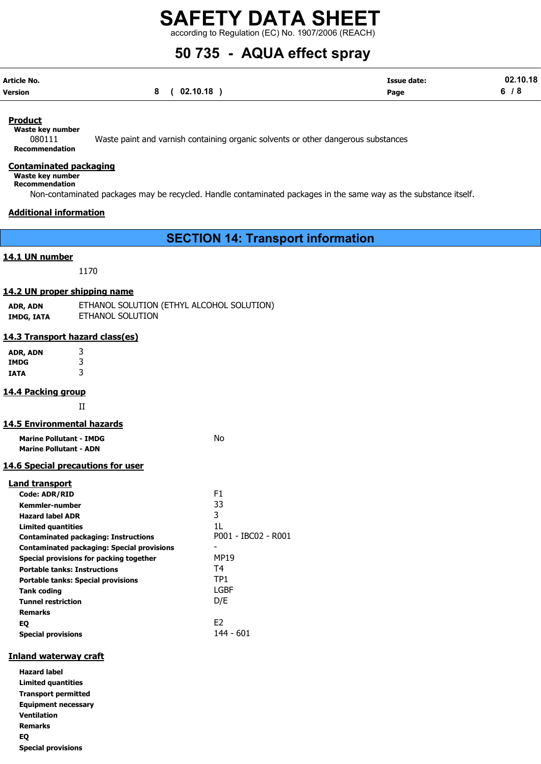according to Regulation (EC) No. 1907/2006 (REACH)

# 50 735 - AQUA effect spray

| Article No. |          | Issue date: | 02.10.18 |
|-------------|----------|-------------|----------|
| Version     | 02.10.18 | Page        |          |

#### Product

Waste key number

080111 Waste paint and varnish containing organic solvents or other dangerous substances Recommendation

#### Contaminated packaging

Waste key number

Recommendation

Non-contaminated packages may be recycled. Handle contaminated packages in the same way as the substance itself.

#### Additional information

SECTION 14: Transport information

#### 14.1 UN number

1170

#### 14.2 UN proper shipping name

| ADR, ADN   | ETHANOL SOLUTION (ETHYL ALCOHOL SOLUTION) |
|------------|-------------------------------------------|
| IMDG, IATA | ETHANOL SOLUTION                          |

#### 14.3 Transport hazard class(es)

ADR, ADN 3 IMDG 3 IATA 3

#### 14.4 Packing group

II

#### 14.5 Environmental hazards

| <b>Marine Pollutant - IMDG</b> | No |
|--------------------------------|----|
| <b>Marine Pollutant - ADN</b>  |    |

#### 14.6 Special precautions for user

#### Land transport

| <b>Code: ADR/RID</b>                              | F1                  |
|---------------------------------------------------|---------------------|
| <b>Kemmler-number</b>                             | 33                  |
| <b>Hazard label ADR</b>                           | 3                   |
| <b>Limited quantities</b>                         | 11                  |
| <b>Contaminated packaging: Instructions</b>       | P001 - IBC02 - R001 |
| <b>Contaminated packaging: Special provisions</b> |                     |
| Special provisions for packing together           | <b>MP19</b>         |
| <b>Portable tanks: Instructions</b>               | T <sub>4</sub>      |
| <b>Portable tanks: Special provisions</b>         | TP1                 |
| <b>Tank coding</b>                                | LGBF                |
| <b>Tunnel restriction</b>                         | D/E                 |
| <b>Remarks</b>                                    |                     |
| EQ                                                | F <sub>2</sub>      |
| <b>Special provisions</b>                         | 144 - 601           |

#### Inland waterway craft

Hazard label Limited quantities Transport permitted Equipment necessary Ventilation Remarks EQ Special provisions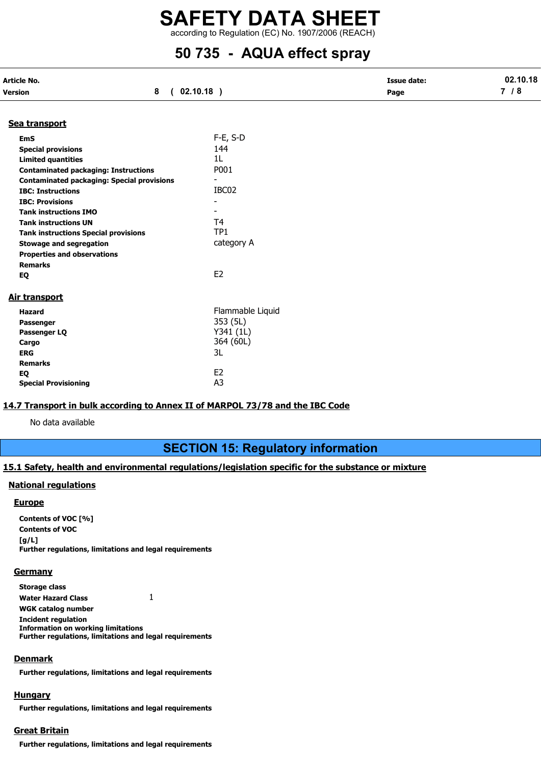# SAFETY DATA SHEET according to Regulation (EC) No. 1907/2006 (REACH)

# 50 735 - AQUA effect spray

| Article No.                                       |                          | <b>Issue date:</b> | 02.10.18 |  |
|---------------------------------------------------|--------------------------|--------------------|----------|--|
| 8<br>Version                                      | (02.10.18)               | Page               | 7/8      |  |
| Sea transport                                     |                          |                    |          |  |
| <b>EmS</b>                                        | $F-E$ , S-D              |                    |          |  |
| <b>Special provisions</b>                         | 144                      |                    |          |  |
| <b>Limited quantities</b>                         | 1L                       |                    |          |  |
| <b>Contaminated packaging: Instructions</b>       | P001                     |                    |          |  |
| <b>Contaminated packaging: Special provisions</b> |                          |                    |          |  |
| <b>IBC: Instructions</b>                          | IBC02                    |                    |          |  |
| <b>IBC: Provisions</b>                            |                          |                    |          |  |
| <b>Tank instructions IMO</b>                      | $\overline{\phantom{0}}$ |                    |          |  |
| <b>Tank instructions UN</b>                       | T4                       |                    |          |  |
| <b>Tank instructions Special provisions</b>       | TP <sub>1</sub>          |                    |          |  |
| <b>Stowage and segregation</b>                    | category A               |                    |          |  |
| <b>Properties and observations</b>                |                          |                    |          |  |
| <b>Remarks</b>                                    |                          |                    |          |  |
| EQ                                                | E <sub>2</sub>           |                    |          |  |
|                                                   |                          |                    |          |  |
| Air transport                                     |                          |                    |          |  |
| <b>Hazard</b>                                     | Flammable Liquid         |                    |          |  |
|                                                   | 353 (5L)                 |                    |          |  |
| Passenger                                         | Y341 (1L)                |                    |          |  |
| Passenger LQ<br>Cargo                             | 364 (60L)                |                    |          |  |
| <b>ERG</b>                                        | 3L                       |                    |          |  |
| <b>Remarks</b>                                    |                          |                    |          |  |
| EQ                                                | E <sub>2</sub>           |                    |          |  |
| <b>Special Provisioning</b>                       | A <sub>3</sub>           |                    |          |  |
|                                                   |                          |                    |          |  |

#### 14.7 Transport in bulk according to Annex II of MARPOL 73/78 and the IBC Code

No data available

# SECTION 15: Regulatory information

### 15.1 Safety, health and environmental regulations/legislation specific for the substance or mixture

#### National regulations

#### **Europe**

Contents of VOC [%] Contents of VOC  $[g/L]$ Further regulations, limitations and legal requirements

#### **Germany**

Storage class Water Hazard Class 1 WGK catalog number Incident regulation Information on working limitations Further regulations, limitations and legal requirements

#### **Denmark**

Further regulations, limitations and legal requirements

#### **Hungary**

Further regulations, limitations and legal requirements

## Great Britain

Further regulations, limitations and legal requirements